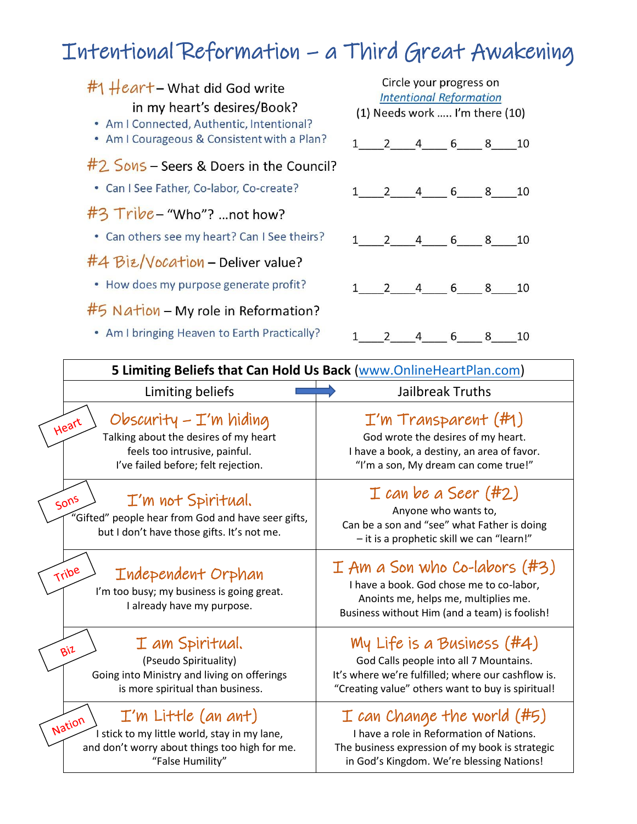## Intentional Reformation – a Third Great Awakening

| $#$ 1 $\#$ ear <sup>+</sup> – What did God write<br>in my heart's desires/Book?<br>• Am I Connected, Authentic, Intentional? | Circle your progress on<br><b>Intentional Reformation</b><br>(1) Needs work  I'm there (10) |             |   |                                              |   |      |
|------------------------------------------------------------------------------------------------------------------------------|---------------------------------------------------------------------------------------------|-------------|---|----------------------------------------------|---|------|
| • Am I Courageous & Consistent with a Plan?                                                                                  |                                                                                             | $1 \quad 2$ |   | 4 6 8 10                                     |   |      |
| #2 Sons - Seers & Doers in the Council?                                                                                      |                                                                                             |             |   |                                              |   |      |
| • Can I See Father, Co-labor, Co-create?                                                                                     |                                                                                             |             |   | 1 2 4 6 8 10                                 |   |      |
| #3 Tribe-"Who"? not how?                                                                                                     |                                                                                             |             |   |                                              |   |      |
| • Can others see my heart? Can I See theirs?                                                                                 |                                                                                             |             |   | $1 \quad 2 \quad 4 \quad 6 \quad 8 \quad 10$ |   |      |
| #4 Biz/Vocation - Deliver value?                                                                                             |                                                                                             |             |   |                                              |   |      |
| • How does my purpose generate profit?                                                                                       |                                                                                             | 2           |   | 4 6 8                                        |   | - 10 |
| $#5$ Nation – My role in Reformation?                                                                                        |                                                                                             |             |   |                                              |   |      |
| • Am I bringing Heaven to Earth Practically?                                                                                 |                                                                                             |             | 4 | 6                                            | 8 | 10   |
|                                                                                                                              |                                                                                             |             |   |                                              |   |      |

 $\Gamma$ 

| 5 Limiting Beliefs that Can Hold Us Back (www.OnlineHeartPlan.com)                                                                                            |                                                                                                                                                                                   |  |  |  |  |
|---------------------------------------------------------------------------------------------------------------------------------------------------------------|-----------------------------------------------------------------------------------------------------------------------------------------------------------------------------------|--|--|--|--|
| Limiting beliefs                                                                                                                                              | Jailbreak Truths                                                                                                                                                                  |  |  |  |  |
| Obscurity – $\mathcal{I}'$ m hiding<br>Heart<br>Talking about the desires of my heart<br>feels too intrusive, painful.<br>I've failed before; felt rejection. | $I'm$ Transparent $(H)$<br>God wrote the desires of my heart.<br>I have a book, a destiny, an area of favor.<br>"I'm a son, My dream can come true!"                              |  |  |  |  |
| I'm not Spiritual.<br>$50^{15}$<br>'Gifted" people hear from God and have seer gifts,<br>but I don't have those gifts. It's not me.                           | $I$ can be a Seer (#2)<br>Anyone who wants to,<br>Can be a son and "see" what Father is doing<br>- it is a prophetic skill we can "learn!"                                        |  |  |  |  |
| Tribe<br>Independent Orphan<br>I'm too busy; my business is going great.<br>I already have my purpose.                                                        | $I$ Am a Son who Co-labors (#3)<br>I have a book. God chose me to co-labor,<br>Anoints me, helps me, multiplies me.<br>Business without Him (and a team) is foolish!              |  |  |  |  |
| I am Spiritual.<br>$Bi^2$<br>(Pseudo Spirituality)<br>Going into Ministry and living on offerings<br>is more spiritual than business.                         | My Life is a Business $(H4)$<br>God Calls people into all 7 Mountains.<br>It's where we're fulfilled; where our cashflow is.<br>"Creating value" others want to buy is spiritual! |  |  |  |  |
| $I'm$ Little (an ant)<br>Nation<br>I stick to my little world, stay in my lane,<br>and don't worry about things too high for me.<br>"False Humility"          | $I$ can Change the world (#5)<br>I have a role in Reformation of Nations.<br>The business expression of my book is strategic<br>in God's Kingdom. We're blessing Nations!         |  |  |  |  |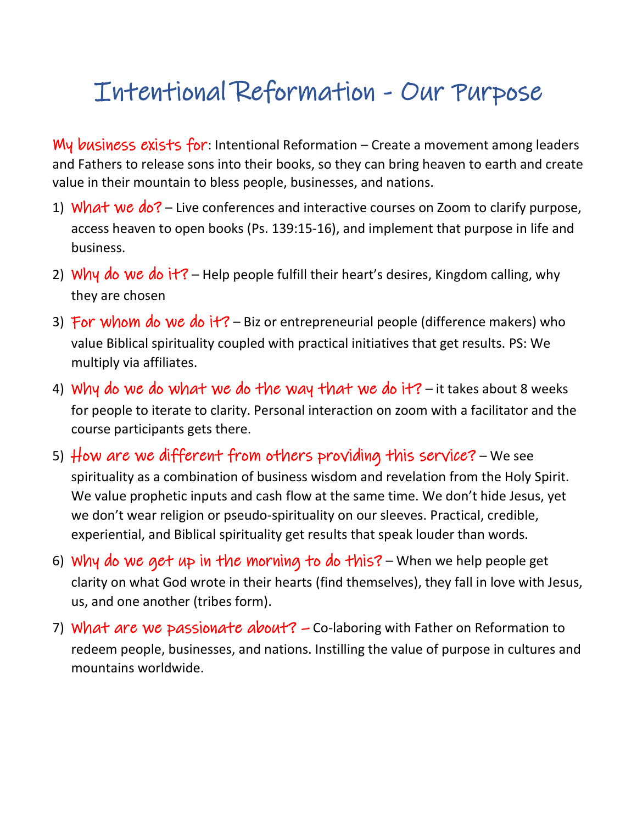## Intentional Reformation - Our Purpose

My business exists for: Intentional Reformation – Create a movement among leaders and Fathers to release sons into their books, so they can bring heaven to earth and create value in their mountain to bless people, businesses, and nations.

- 1) What we  $d_0$ ? Live conferences and interactive courses on Zoom to clarify purpose, access heaven to open books (Ps. 139:15-16), and implement that purpose in life and business.
- 2) Why do we do it? Help people fulfill their heart's desires, Kingdom calling, why they are chosen
- 3) For whom do we do it? Biz or entrepreneurial people (difference makers) who value Biblical spirituality coupled with practical initiatives that get results. PS: We multiply via affiliates.
- 4) Why do we do what we do the way that we do it? it takes about 8 weeks for people to iterate to clarity. Personal interaction on zoom with a facilitator and the course participants gets there.
- 5) How are we different from others providing this service? We see spirituality as a combination of business wisdom and revelation from the Holy Spirit. We value prophetic inputs and cash flow at the same time. We don't hide Jesus, yet we don't wear religion or pseudo-spirituality on our sleeves. Practical, credible, experiential, and Biblical spirituality get results that speak louder than words.
- 6) Why do we get up in the morning to do this? When we help people get clarity on what God wrote in their hearts (find themselves), they fall in love with Jesus, us, and one another (tribes form).
- 7) What are we passionate about?  $-$  Co-laboring with Father on Reformation to redeem people, businesses, and nations. Instilling the value of purpose in cultures and mountains worldwide.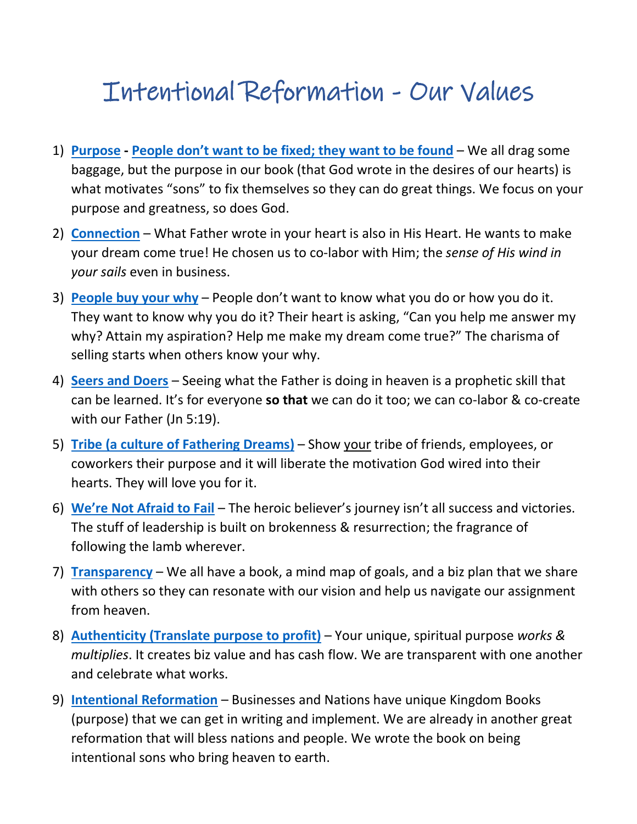## Intentional Reformation - Our Values

- 1) **[Purpose](https://releasingkings.com/2021-03-19-im-busy-turning-stones-into-bread/) - [People don't want to be fixed](https://releasingkings.com/2021-03-31-avatars-is-this-you/); they want to be found** We all drag some baggage, but the purpose in our book (that God wrote in the desires of our hearts) is what motivates "sons" to fix themselves so they can do great things. We focus on your purpose and greatness, so does God.
- 2) **[Connection](https://releasingkings.com/2018-09-24-connecting-my-heart/)** What Father wrote in your heart is also in His Heart. He wants to make your dream come true! He chosen us to co-labor with Him; the *sense of His wind in your sails* even in business.
- 3) **[People buy your why](https://releasingkings.com/2016-05-02-recipes-dont-work/)** People don't want to know what you do or how you do it. They want to know why you do it? Their heart is asking, "Can you help me answer my why? Attain my aspiration? Help me make my dream come true?" The charisma of selling starts when others know your why.
- 4) **[Seers and Doers](https://www.amazon.com/Seers-Doers-Bringing-Heaven-Earth/dp/B08NRYYW88/ref=tmm_pap_swatch_0?_encoding=UTF8&qid=1630977585&sr=8-1)** Seeing what the Father is doing in heaven is a prophetic skill that can be learned. It's for everyone **so that** we can do it too; we can co-labor & co-create with our Father (Jn 5:19).
- 5) **Tribe [\(a culture of Fathering Dreams\)](https://www.amazon.com/Lead-Your-Tribe-Field-Guide/dp/B08ZVWQ4DT/ref=tmm_pap_swatch_0?_encoding=UTF8&qid=1630977671&sr=8-2)** Show your tribe of friends, employees, or coworkers their purpose and it will liberate the motivation God wired into their hearts. They will love you for it.
- 6) **[We're Not Afraid to Fail](https://releasingkings.com/2019-12-28-making-friends-with-failure/)** The heroic believer's journey isn't all success and victories. The stuff of leadership is built on brokenness & resurrection; the fragrance of following the lamb wherever.
- 7) **[Transparency](https://releasingkings.com/2020-05-19-taste-and-see-whats-coming-in-your-life/)** We all have a book, a mind map of goals, and a biz plan that we share with others so they can resonate with our vision and help us navigate our assignment from heaven.
- 8) **[Authenticity \(Translate purpose to profit\)](https://releasingkings.com/2013-03-30-authenticity/)** Your unique, spiritual purpose *works & multiplies*. It creates biz value and has cash flow. We are transparent with one another and celebrate what works.
- 9) **[Intentional Reformation](https://www.amazon.com/Intentional-Reformation-Roadmap-Change-Yourself/dp/B08NS3QHRG/ref=tmm_pap_swatch_0?_encoding=UTF8&qid=1630977424&sr=8-2)** Businesses and Nations have unique Kingdom Books (purpose) that we can get in writing and implement. We are already in another great reformation that will bless nations and people. We wrote the book on being intentional sons who bring heaven to earth.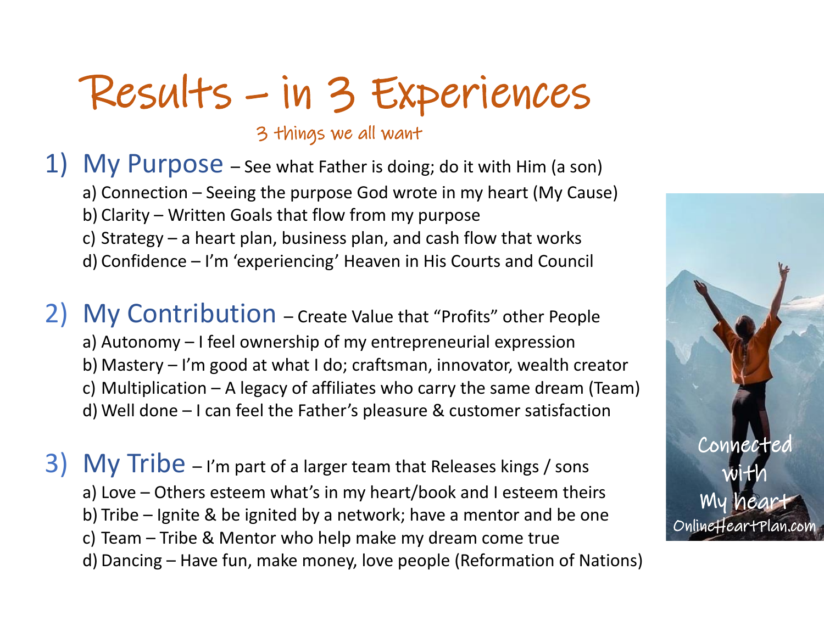# Results – in 3 Experiences

3 things we all want

1) My Purpose - See what Father is doing; do it with Him (a son) a) Connection – Seeing the purpose God wrote in my heart (My Cause) b) Clarity – Written Goals that flow from my purpose c) Strategy – a heart plan, business plan, and cash flow that works d) Confidence – I'm 'experiencing' Heaven in His Courts and Council

2) My Contribution – Create Value that "Profits" other People a) Autonomy – I feel ownership of my entrepreneurial expression b) Mastery – I'm good at what I do; craftsman, innovator, wealth creator c) Multiplication – A legacy of affiliates who carry the same dream (Team) d) Well done – I can feel the Father's pleasure & customer satisfaction

3) My Tribe – I'm part of a larger team that Releases kings / sons a) Love – Others esteem what's in my heart/book and I esteem theirs b) Tribe – Ignite & be ignited by a network; have a mentor and be one c) Team – Tribe & Mentor who help make my dream come true d) Dancing – Have fun, make money, love people (Reformation of Nations)